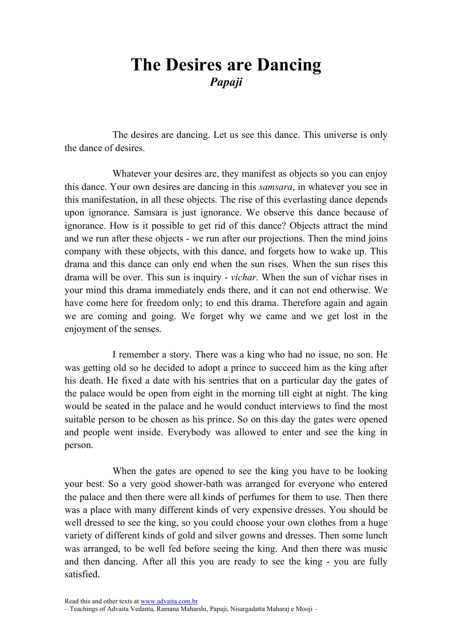## The Desires are Dancing Papaji

The desires are dancing. Let us see this dance. This universe is only the dance of desires.

Whatever your desires are, they manifest as objects so you can enjoy this dance. Your own desires are dancing in this samsara, in whatever you see in this manifestation, in all these objects. The rise of this everlasting dance depends upon ignorance. Samsara is just ignorance. We observe this dance because of ignorance. How is it possible to get rid of this dance? Objects attract the mind and we run after these objects - we run after our projections. Then the mind joins company with these objects, with this dance, and forgets how to wake up. This drama and this dance can only end when the sun rises. When the sun rises this drama will be over. This sun is inquiry - vichar. When the sun of vichar rises in your mind this drama immediately ends there, and it can not end otherwise. We have come here for freedom only; to end this drama. Therefore again and again we are coming and going. We forget why we came and we get lost in the enjoyment of the senses.

I remember a story. There was a king who had no issue, no son. He was getting old so he decided to adopt a prince to succeed him as the king after his death. He fixed a date with his sentries that on a particular day the gates of the palace would be open from eight in the morning till eight at night. The king would be seated in the palace and he would conduct interviews to find the most suitable person to be chosen as his prince. So on this day the gates were opened and people went inside. Everybody was allowed to enter and see the king in person.

When the gates are opened to see the king you have to be looking your best. So a very good shower-bath was arranged for everyone who entered the palace and then there were all kinds of perfumes for them to use. Then there was a place with many different kinds of very expensive dresses. You should be well dressed to see the king, so you could choose your own clothes from a huge variety of different kinds of gold and silver gowns and dresses. Then some lunch was arranged, to be well fed before seeing the king. And then there was music and then dancing. After all this you are ready to see the king - you are fully satisfied.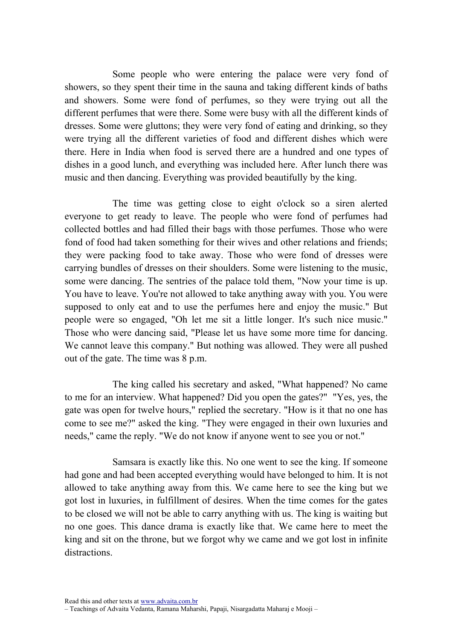Some people who were entering the palace were very fond of showers, so they spent their time in the sauna and taking different kinds of baths and showers. Some were fond of perfumes, so they were trying out all the different perfumes that were there. Some were busy with all the different kinds of dresses. Some were gluttons; they were very fond of eating and drinking, so they were trying all the different varieties of food and different dishes which were there. Here in India when food is served there are a hundred and one types of dishes in a good lunch, and everything was included here. After lunch there was music and then dancing. Everything was provided beautifully by the king.

The time was getting close to eight o'clock so a siren alerted everyone to get ready to leave. The people who were fond of perfumes had collected bottles and had filled their bags with those perfumes. Those who were fond of food had taken something for their wives and other relations and friends; they were packing food to take away. Those who were fond of dresses were carrying bundles of dresses on their shoulders. Some were listening to the music, some were dancing. The sentries of the palace told them, "Now your time is up. You have to leave. You're not allowed to take anything away with you. You were supposed to only eat and to use the perfumes here and enjoy the music." But people were so engaged, "Oh let me sit a little longer. It's such nice music." Those who were dancing said, "Please let us have some more time for dancing. We cannot leave this company." But nothing was allowed. They were all pushed out of the gate. The time was 8 p.m.

The king called his secretary and asked, "What happened? No came to me for an interview. What happened? Did you open the gates?" "Yes, yes, the gate was open for twelve hours," replied the secretary. "How is it that no one has come to see me?" asked the king. "They were engaged in their own luxuries and needs," came the reply. "We do not know if anyone went to see you or not."

Samsara is exactly like this. No one went to see the king. If someone had gone and had been accepted everything would have belonged to him. It is not allowed to take anything away from this. We came here to see the king but we got lost in luxuries, in fulfillment of desires. When the time comes for the gates to be closed we will not be able to carry anything with us. The king is waiting but no one goes. This dance drama is exactly like that. We came here to meet the king and sit on the throne, but we forgot why we came and we got lost in infinite distractions.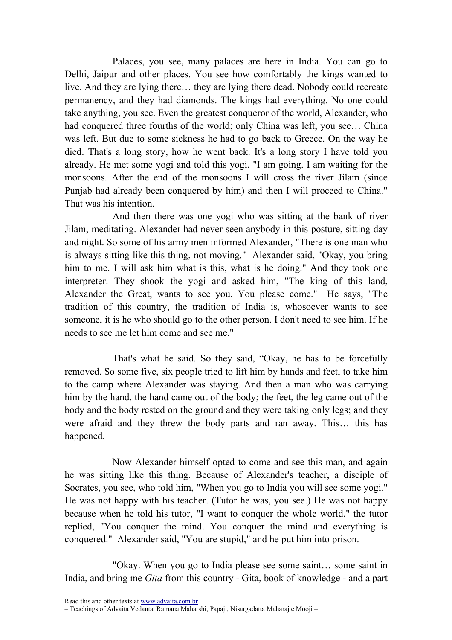Palaces, you see, many palaces are here in India. You can go to Delhi, Jaipur and other places. You see how comfortably the kings wanted to live. And they are lying there… they are lying there dead. Nobody could recreate permanency, and they had diamonds. The kings had everything. No one could take anything, you see. Even the greatest conqueror of the world, Alexander, who had conquered three fourths of the world; only China was left, you see… China was left. But due to some sickness he had to go back to Greece. On the way he died. That's a long story, how he went back. It's a long story I have told you already. He met some yogi and told this yogi, "I am going. I am waiting for the monsoons. After the end of the monsoons I will cross the river Jilam (since Punjab had already been conquered by him) and then I will proceed to China." That was his intention.

And then there was one yogi who was sitting at the bank of river Jilam, meditating. Alexander had never seen anybody in this posture, sitting day and night. So some of his army men informed Alexander, "There is one man who is always sitting like this thing, not moving." Alexander said, "Okay, you bring him to me. I will ask him what is this, what is he doing." And they took one interpreter. They shook the yogi and asked him, "The king of this land, Alexander the Great, wants to see you. You please come." He says, "The tradition of this country, the tradition of India is, whosoever wants to see someone, it is he who should go to the other person. I don't need to see him. If he needs to see me let him come and see me."

That's what he said. So they said, "Okay, he has to be forcefully removed. So some five, six people tried to lift him by hands and feet, to take him to the camp where Alexander was staying. And then a man who was carrying him by the hand, the hand came out of the body; the feet, the leg came out of the body and the body rested on the ground and they were taking only legs; and they were afraid and they threw the body parts and ran away. This… this has happened.

Now Alexander himself opted to come and see this man, and again he was sitting like this thing. Because of Alexander's teacher, a disciple of Socrates, you see, who told him, "When you go to India you will see some yogi." He was not happy with his teacher. (Tutor he was, you see.) He was not happy because when he told his tutor, "I want to conquer the whole world," the tutor replied, "You conquer the mind. You conquer the mind and everything is conquered." Alexander said, "You are stupid," and he put him into prison.

"Okay. When you go to India please see some saint… some saint in India, and bring me Gita from this country - Gita, book of knowledge - and a part

<sup>–</sup> Teachings of Advaita Vedanta, Ramana Maharshi, Papaji, Nisargadatta Maharaj e Mooji –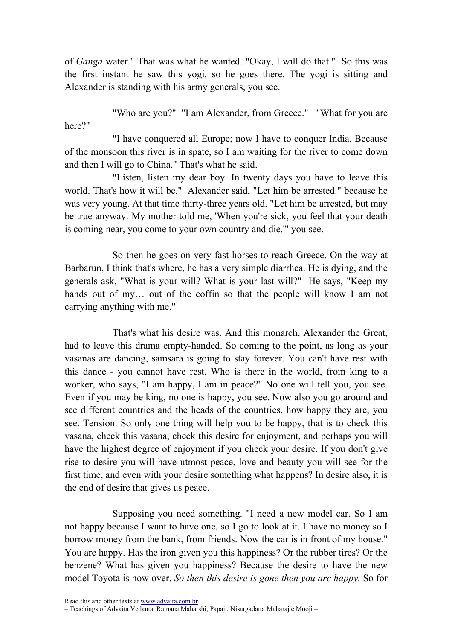of Ganga water." That was what he wanted. "Okay, I will do that." So this was the first instant he saw this yogi, so he goes there. The yogi is sitting and Alexander is standing with his army generals, you see.

"Who are you?" "I am Alexander, from Greece." "What for you are here?"

"I have conquered all Europe; now I have to conquer India. Because of the monsoon this river is in spate, so I am waiting for the river to come down and then I will go to China." That's what he said.

"Listen, listen my dear boy. In twenty days you have to leave this world. That's how it will be." Alexander said, "Let him be arrested." because he was very young. At that time thirty-three years old. "Let him be arrested, but may be true anyway. My mother told me, 'When you're sick, you feel that your death is coming near, you come to your own country and die.'" you see.

So then he goes on very fast horses to reach Greece. On the way at Barbarun, I think that's where, he has a very simple diarrhea. He is dying, and the generals ask, "What is your will? What is your last will?" He says, "Keep my hands out of my... out of the coffin so that the people will know I am not carrying anything with me."

That's what his desire was. And this monarch, Alexander the Great, had to leave this drama empty-handed. So coming to the point, as long as your vasanas are dancing, samsara is going to stay forever. You can't have rest with this dance - you cannot have rest. Who is there in the world, from king to a worker, who says, "I am happy, I am in peace?" No one will tell you, you see. Even if you may be king, no one is happy, you see. Now also you go around and see different countries and the heads of the countries, how happy they are, you see. Tension. So only one thing will help you to be happy, that is to check this vasana, check this vasana, check this desire for enjoyment, and perhaps you will have the highest degree of enjoyment if you check your desire. If you don't give rise to desire you will have utmost peace, love and beauty you will see for the first time, and even with your desire something what happens? In desire also, it is the end of desire that gives us peace.

Supposing you need something. "I need a new model car. So I am not happy because I want to have one, so I go to look at it. I have no money so I borrow money from the bank, from friends. Now the car is in front of my house." You are happy. Has the iron given you this happiness? Or the rubber tires? Or the benzene? What has given you happiness? Because the desire to have the new model Toyota is now over. So then this desire is gone then you are happy. So for

Read this and other texts at www.advaita.com.br

– Teachings of Advaita Vedanta, Ramana Maharshi, Papaji, Nisargadatta Maharaj e Mooji –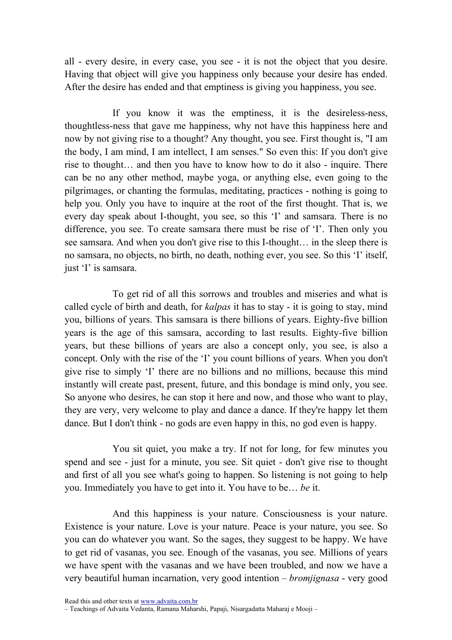all - every desire, in every case, you see - it is not the object that you desire. Having that object will give you happiness only because your desire has ended. After the desire has ended and that emptiness is giving you happiness, you see.

If you know it was the emptiness, it is the desireless-ness, thoughtless-ness that gave me happiness, why not have this happiness here and now by not giving rise to a thought? Any thought, you see. First thought is, "I am the body, I am mind, I am intellect, I am senses." So even this: If you don't give rise to thought… and then you have to know how to do it also - inquire. There can be no any other method, maybe yoga, or anything else, even going to the pilgrimages, or chanting the formulas, meditating, practices - nothing is going to help you. Only you have to inquire at the root of the first thought. That is, we every day speak about I-thought, you see, so this 'I' and samsara. There is no difference, you see. To create samsara there must be rise of 'I'. Then only you see samsara. And when you don't give rise to this I-thought… in the sleep there is no samsara, no objects, no birth, no death, nothing ever, you see. So this 'I' itself, just 'I' is samsara.

To get rid of all this sorrows and troubles and miseries and what is called cycle of birth and death, for *kalpas* it has to stay - it is going to stay, mind you, billions of years. This samsara is there billions of years. Eighty-five billion years is the age of this samsara, according to last results. Eighty-five billion years, but these billions of years are also a concept only, you see, is also a concept. Only with the rise of the 'I' you count billions of years. When you don't give rise to simply 'I' there are no billions and no millions, because this mind instantly will create past, present, future, and this bondage is mind only, you see. So anyone who desires, he can stop it here and now, and those who want to play, they are very, very welcome to play and dance a dance. If they're happy let them dance. But I don't think - no gods are even happy in this, no god even is happy.

You sit quiet, you make a try. If not for long, for few minutes you spend and see - just for a minute, you see. Sit quiet - don't give rise to thought and first of all you see what's going to happen. So listening is not going to help you. Immediately you have to get into it. You have to be… be it.

And this happiness is your nature. Consciousness is your nature. Existence is your nature. Love is your nature. Peace is your nature, you see. So you can do whatever you want. So the sages, they suggest to be happy. We have to get rid of vasanas, you see. Enough of the vasanas, you see. Millions of years we have spent with the vasanas and we have been troubled, and now we have a very beautiful human incarnation, very good intention – bromjignasa - very good

Read this and other texts at www.advaita.com.br

<sup>–</sup> Teachings of Advaita Vedanta, Ramana Maharshi, Papaji, Nisargadatta Maharaj e Mooji –